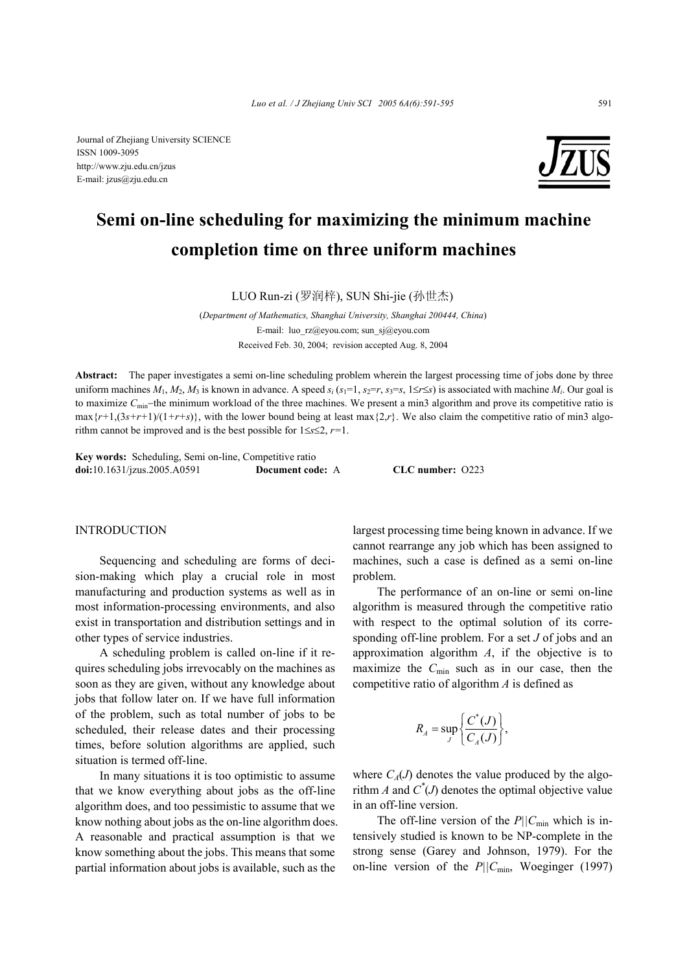

# **Semi on-line scheduling for maximizing the minimum machine completion time on three uniform machines**

LUO Run-zi (罗润梓), SUN Shi-jie (孙世杰)

(*Department of Mathematics, Shanghai University, Shanghai 200444, China*) E-mail: luo rz@eyou.com; sun\_sj@eyou.com Received Feb. 30, 2004; revision accepted Aug. 8, 2004

**Abstract:** The paper investigates a semi on-line scheduling problem wherein the largest processing time of jobs done by three uniform machines  $M_1$ ,  $M_2$ ,  $M_3$  is known in advance. A speed  $s_i$  ( $s_1=1$ ,  $s_2=r$ ,  $s_3=s$ ,  $1\le r\le s$ ) is associated with machine  $M_i$ . Our goal is to maximize *C*min−the minimum workload of the three machines. We present a min3 algorithm and prove its competitive ratio is  $\max\{r+1,(3s+r+1)/(1+r+s)\}$ , with the lower bound being at least max  $\{2,r\}$ . We also claim the competitive ratio of min3 algorithm cannot be improved and is the best possible for 1≤*s*≤2, *r=*1.

| <b>Key words:</b> Scheduling, Semi on-line, Competitive ratio |                         |                      |  |
|---------------------------------------------------------------|-------------------------|----------------------|--|
| doi:10.1631/jzus.2005.A0591                                   | <b>Document code:</b> A | $CLC$ number: $O223$ |  |

## **INTRODUCTION**

Sequencing and scheduling are forms of decision-making which play a crucial role in most manufacturing and production systems as well as in most information-processing environments, and also exist in transportation and distribution settings and in other types of service industries.

A scheduling problem is called on-line if it requires scheduling jobs irrevocably on the machines as soon as they are given, without any knowledge about jobs that follow later on. If we have full information of the problem, such as total number of jobs to be scheduled, their release dates and their processing times, before solution algorithms are applied, such situation is termed off-line.

In many situations it is too optimistic to assume that we know everything about jobs as the off-line algorithm does, and too pessimistic to assume that we know nothing about jobs as the on-line algorithm does. A reasonable and practical assumption is that we know something about the jobs. This means that some partial information about jobs is available, such as the

largest processing time being known in advance. If we cannot rearrange any job which has been assigned to machines, such a case is defined as a semi on-line problem.

The performance of an on-line or semi on-line algorithm is measured through the competitive ratio with respect to the optimal solution of its corresponding off-line problem. For a set *J* of jobs and an approximation algorithm *A*, if the objective is to maximize the *C*min such as in our case, then the competitive ratio of algorithm *A* is defined as

$$
R_A = \sup_J \left\{ \frac{C^*(J)}{C_A(J)} \right\},\,
$$

where  $C_A(J)$  denotes the value produced by the algorithm *A* and  $C^*(J)$  denotes the optimal objective value in an off-line version.

The off-line version of the  $P||C_{min}$  which is intensively studied is known to be NP-complete in the strong sense (Garey and Johnson, 1979). For the on-line version of the  $P||C_{\min}$ , Woeginger (1997)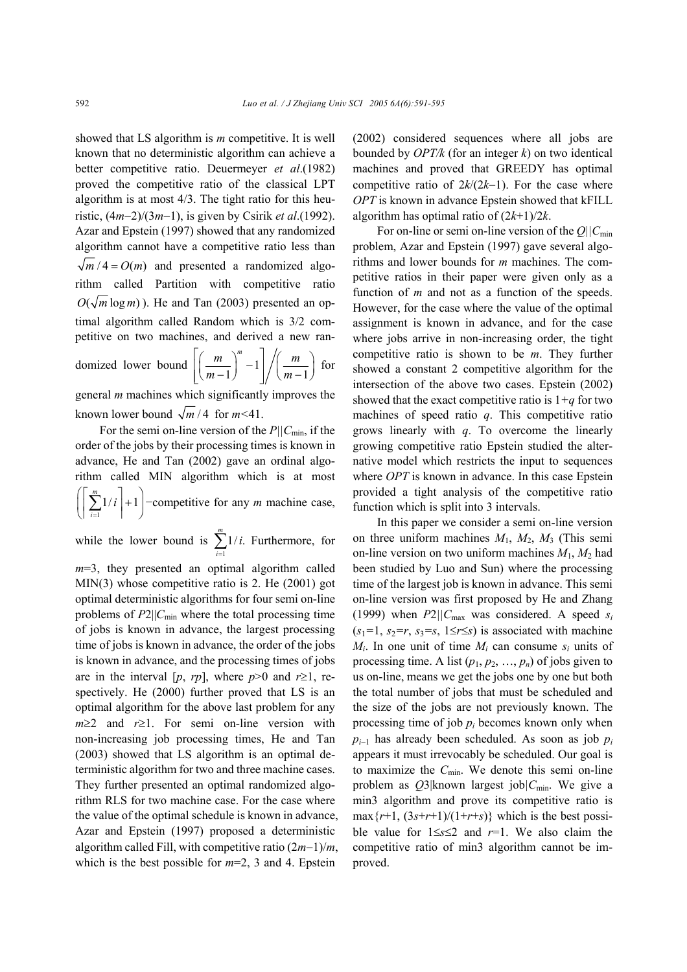showed that LS algorithm is *m* competitive. It is well known that no deterministic algorithm can achieve a better competitive ratio. Deuermeyer *et al*.(1982) proved the competitive ratio of the classical LPT algorithm is at most 4/3. The tight ratio for this heuristic, (4*m*−2)/(3*m*−1), is given by Csirik *et al*.(1992). Azar and Epstein (1997) showed that any randomized algorithm cannot have a competitive ratio less than  $\sqrt{m}/4 = O(m)$  and presented a randomized algorithm called Partition with competitive ratio  $O(\sqrt{m} \log m)$ ). He and Tan (2003) presented an optimal algorithm called Random which is 3/2 competitive on two machines, and derived a new randomized lower bound  $\left|\frac{m}{n}\right|$  -1 1)  $\binom{1}{m-1}$  $m \quad \begin{matrix} m & \\ & 1 \end{matrix}$  /  $\begin{matrix} m \\ m \end{matrix}$  $\left[\left(\frac{m}{m-1}\right)^m - 1\right] / \left(\frac{m}{m-1}\right)$  for general *m* machines which significantly improves the

known lower bound  $\sqrt{m}/4$  for  $m<41$ . For the semi on-line version of the  $P||C_{min}$ , if the order of the jobs by their processing times is known in advance, He and Tan (2002) gave an ordinal algorithm called MIN algorithm which is at most 1  $\sum_{i=1}^{m}$  1/*i* + 1 *i i*  $\left( \left\lceil \sum_{i=1}^{m} 1/i \right\rceil + 1 \right)$ -competitive for any *m* machine case, while the lower bound is  $\sum_{i=1}^{m} 1/i$ . *i i*  $\sum_{i=1} 1/i$ . Furthermore, for *m*=3, they presented an optimal algorithm called MIN(3) whose competitive ratio is 2. He (2001) got optimal deterministic algorithms for four semi on-line problems of  $P2||C_{\min}$  where the total processing time of jobs is known in advance, the largest processing time of jobs is known in advance, the order of the jobs is known in advance, and the processing times of jobs are in the interval [p, rp], where  $p>0$  and  $r\geq 1$ , respectively. He (2000) further proved that LS is an optimal algorithm for the above last problem for any *m*≥2 and *r*≥1. For semi on-line version with non-increasing job processing times, He and Tan (2003) showed that LS algorithm is an optimal deterministic algorithm for two and three machine cases. They further presented an optimal randomized algorithm RLS for two machine case. For the case where the value of the optimal schedule is known in advance, Azar and Epstein (1997) proposed a deterministic algorithm called Fill, with competitive ratio (2*m*−1)/*m*, which is the best possible for *m*=2, 3 and 4. Epstein

(2002) considered sequences where all jobs are bounded by *OPT/k* (for an integer *k*) on two identical machines and proved that GREEDY has optimal competitive ratio of 2*k*/(2*k*−1). For the case where *OPT* is known in advance Epstein showed that kFILL algorithm has optimal ratio of (2*k*+1)/2*k*.

For on-line or semi on-line version of the *Q*||C<sub>min</sub> problem, Azar and Epstein (1997) gave several algorithms and lower bounds for *m* machines. The competitive ratios in their paper were given only as a function of *m* and not as a function of the speeds. However, for the case where the value of the optimal assignment is known in advance, and for the case where jobs arrive in non-increasing order, the tight competitive ratio is shown to be *m*. They further showed a constant 2 competitive algorithm for the intersection of the above two cases. Epstein (2002) showed that the exact competitive ratio is  $1+q$  for two machines of speed ratio  $q$ . This competitive ratio grows linearly with *q*. To overcome the linearly growing competitive ratio Epstein studied the alternative model which restricts the input to sequences where *OPT* is known in advance. In this case Epstein provided a tight analysis of the competitive ratio function which is split into 3 intervals.

In this paper we consider a semi on-line version on three uniform machines  $M_1$ ,  $M_2$ ,  $M_3$  (This semi on-line version on two uniform machines  $M_1$ ,  $M_2$  had been studied by Luo and Sun) where the processing time of the largest job is known in advance. This semi on-line version was first proposed by He and Zhang (1999) when  $P2||C_{\text{max}}$  was considered. A speed  $s_i$  $(s_1=1, s_2=r, s_3=s, 1\leq r\leq s)$  is associated with machine  $M_i$ . In one unit of time  $M_i$  can consume  $s_i$  units of processing time. A list  $(p_1, p_2, ..., p_n)$  of jobs given to us on-line, means we get the jobs one by one but both the total number of jobs that must be scheduled and the size of the jobs are not previously known. The processing time of job *pi* becomes known only when  $p_{i-1}$  has already been scheduled. As soon as job  $p_i$ appears it must irrevocably be scheduled. Our goal is to maximize the *C*min. We denote this semi on-line problem as *Q*3|known largest job*|C*min. We give a min3 algorithm and prove its competitive ratio is  $\max\{r+1, (3s+r+1)/(1+r+s)\}\$  which is the best possible value for 1≤*s*≤2 and *r*=1. We also claim the competitive ratio of min3 algorithm cannot be improved.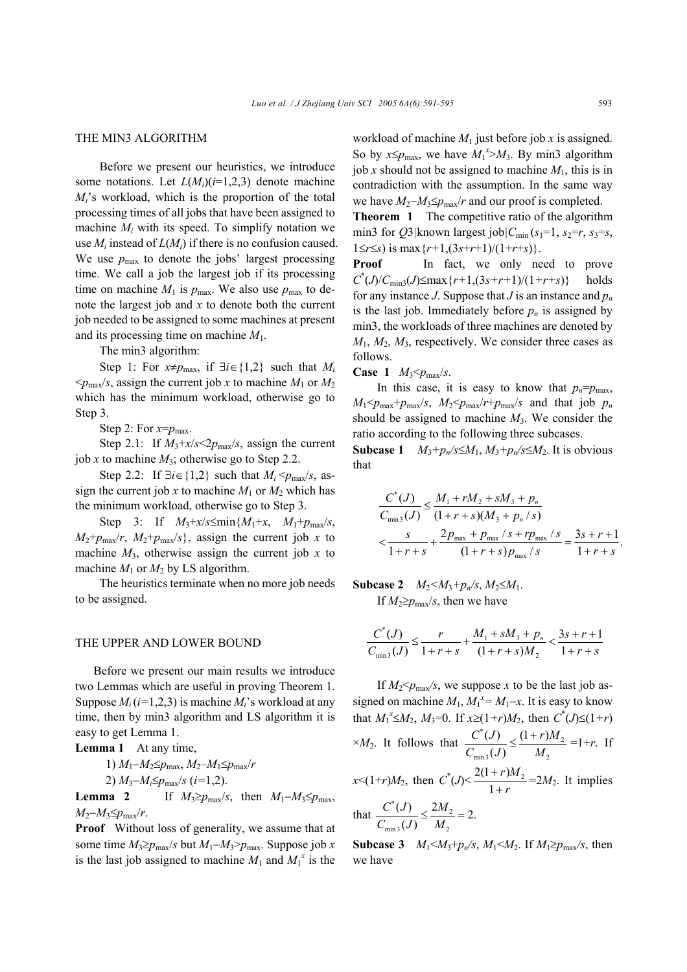## THE MIN3 ALGORITHM

Before we present our heuristics, we introduce some notations. Let  $L(M_i)(i=1,2,3)$  denote machine *Mi*'s workload, which is the proportion of the total processing times of all jobs that have been assigned to machine  $M_i$  with its speed. To simplify notation we use  $M_i$  instead of  $L(M_i)$  if there is no confusion caused. We use  $p_{\text{max}}$  to denote the jobs' largest processing time. We call a job the largest job if its processing time on machine  $M_1$  is  $p_{\text{max}}$ . We also use  $p_{\text{max}}$  to denote the largest job and *x* to denote both the current job needed to be assigned to some machines at present and its processing time on machine *M*1.

The min3 algorithm:

Step 1: For  $x \neq p_{\text{max}}$ , if  $\exists i \in \{1,2\}$  such that  $M_i$  $\langle p_{\text{max}}/s, \text{assign the current job } x \text{ to machine } M_1 \text{ or } M_2 \rangle$ which has the minimum workload, otherwise go to Step 3.

Step 2: For  $x=p_{\text{max}}$ .

Step 2.1: If  $M_3+x/s<2p_{\text{max}}/s$ , assign the current job *x* to machine *M*3; otherwise go to Step 2.2.

Step 2.2: If  $\exists i \in \{1,2\}$  such that  $M_i < p_{\text{max}}/s$ , assign the current job *x* to machine  $M_1$  or  $M_2$  which has the minimum workload, otherwise go to Step 3.

Step 3: If  $M_3 + x/s \le \min\{M_1 + x, M_1 + p_{\max}/s,$  $M_2+p_{\text{max}}/r$ ,  $M_2+p_{\text{max}}/s$ , assign the current job *x* to machine  $M_3$ , otherwise assign the current job  $x$  to machine  $M_1$  or  $M_2$  by LS algorithm.

The heuristics terminate when no more job needs to be assigned.

#### THE UPPER AND LOWER BOUND

Before we present our main results we introduce two Lemmas which are useful in proving Theorem 1. Suppose  $M_i$  ( $i=1,2,3$ ) is machine  $M_i$ 's workload at any time, then by min3 algorithm and LS algorithm it is easy to get Lemma 1.

**Lemma 1** At any time,

1) 
$$
M_1-M_2 \leq p_{\text{max}}, M_2-M_1 \leq p_{\text{max}}/r
$$
  
2)  $M_3-M_i \leq p_{\text{max}}/s$  (*i*=1,2).

**Lemma 2** If  $M_3 \geq p_{\text{max}}/s$ , then  $M_1 - M_3 \leq p_{\text{max}}$ ,  $M_2$ − $M_3$ ≤ $p_{\text{max}}/r$ .

**Proof** Without loss of generality, we assume that at some time  $M_3 \geq p_{\text{max}}/s$  but  $M_1 - M_3 > p_{\text{max}}$ . Suppose job *x* is the last job assigned to machine  $M_1$  and  $M_1^x$  is the workload of machine *M*1 just before job *x* is assigned. So by  $x \le p_{\text{max}}$ , we have  $M_1^x > M_3$ . By min3 algorithm job  $x$  should not be assigned to machine  $M_1$ , this is in contradiction with the assumption. In the same way we have  $M_2$ − $M_3$ ≤ $p_{\text{max}}/r$  and our proof is completed.

**Theorem 1** The competitive ratio of the algorithm min3 for *Q*3*|known largest job|C<sub>min</sub>*( $s_1$ =1,  $s_2$ = $r$ ,  $s_3$ = $s$ , 1≤*r*≤*s*) is max {*r*+1,(3*s*+*r*+1)/(1+*r*+*s*)}.

**Proof** In fact, we only need to prove  $C^*(J)$ / $C_{min3}(J)$ ≤max{*r*+1,(3*s+r+*1)/(1*+r+s*)} holds for any instance *J*. Suppose that *J* is an instance and  $p_n$ is the last job. Immediately before  $p_n$  is assigned by min3, the workloads of three machines are denoted by *M*1, *M*2, *M*3, respectively. We consider three cases as follows.

**Case 1**  $M_3 \leq p_{\text{max}}/s$ .

In this case, it is easy to know that  $p_n=p_{\text{max}}$ ,  $M_1$ < $p_{\text{max}}$ + $p_{\text{max}}$ / $s$ ,  $M_2$ < $p_{\text{max}}$ / $r$ + $p_{\text{max}}$ / $s$  and that job  $p_n$ should be assigned to machine *M*3. We consider the ratio according to the following three subcases.

**Subcase 1** *M*<sub>3</sub>*+p<sub>n</sub>/s*≤*M*<sub>1</sub>*, M*<sub>3</sub>*+p<sub>n</sub>/s≤<i>M*<sub>2</sub>*,* It is obvious that

$$
\frac{C^*(J)}{C_{\min 3}(J)} \le \frac{M_1 + rM_2 + sM_3 + p_n}{(1 + r + s)(M_3 + p_n / s)}
$$
\n
$$
< \frac{s}{1 + r + s} + \frac{2p_{\max} + p_{\max} / s + rp_{\max} / s}{(1 + r + s)p_{\max} / s} = \frac{3s + r + 1}{1 + r + s}.
$$

**Subcase 2** *M*<sub>2</sub><*M*<sub>3</sub>+*p<sub>n</sub>/s*, *M*<sub>2</sub>≤*M*<sub>1</sub>. If  $M_2 \geq p_{\text{max}}/s$ , then we have

$$
\frac{C^*(J)}{C_{\min 3}(J)} \le \frac{r}{1+r+s} + \frac{M_1 + sM_3 + p_n}{(1+r+s)M_2} < \frac{3s+r+1}{1+r+s}
$$

If  $M_2 \leq p_{\text{max}}/s$ , we suppose x to be the last job assigned on machine  $M_1$ ,  $M_1^x = M_1 - x$ . It is easy to know that  $M_1^x \le M_2$ ,  $M_3 = 0$ . If  $x \ge (1+r)M_2$ , then  $C^*(J) \le (1+r)$  $\times M_2$ . It follows that  $\frac{C^*(J)}{C} \leq \frac{(1+r)M_2}{C}$  $\min_3$   $($ v $)$   $\sum_1$  $(J) \t (1 + r)$  $(J)$  $C^{*}(J)$  <u>(1+r)</u>*M*  $C_{\min 3}(J)$  *M*  $\leq \frac{(1+r)M_2}{\sqrt{1-r}} = 1+r$ . If  $x<(1+r)M_2$ , then  $C^*(J)<\frac{2(1+r)M_2}{I}$ 1 *r M r* +  $\frac{1}{r}$   $\frac{1}{r}$  = 2*M*<sub>2</sub>. It implies that  $\frac{C^*(J)}{C^*(J)} \leq \frac{2M_2}{M}$  $\min_3$   $($ v $)$   $\sum_1$  $\frac{(J)}{(J)} \leq \frac{2M_2}{2} = 2.$  $(J)$  $C^*(J)$  2*M*  $C_{\min 3}(J)$ <sup>-</sup> *M*  $\leq \frac{2M_2}{\sigma}$  =

**Subcase 3** *M*<sub>1</sub><*M*<sub>3</sub>+*p<sub>n</sub>/s*, *M*<sub>1</sub><*M*<sub>2</sub>. If *M*<sub>1</sub>≥*p*<sub>max</sub>/s, then we have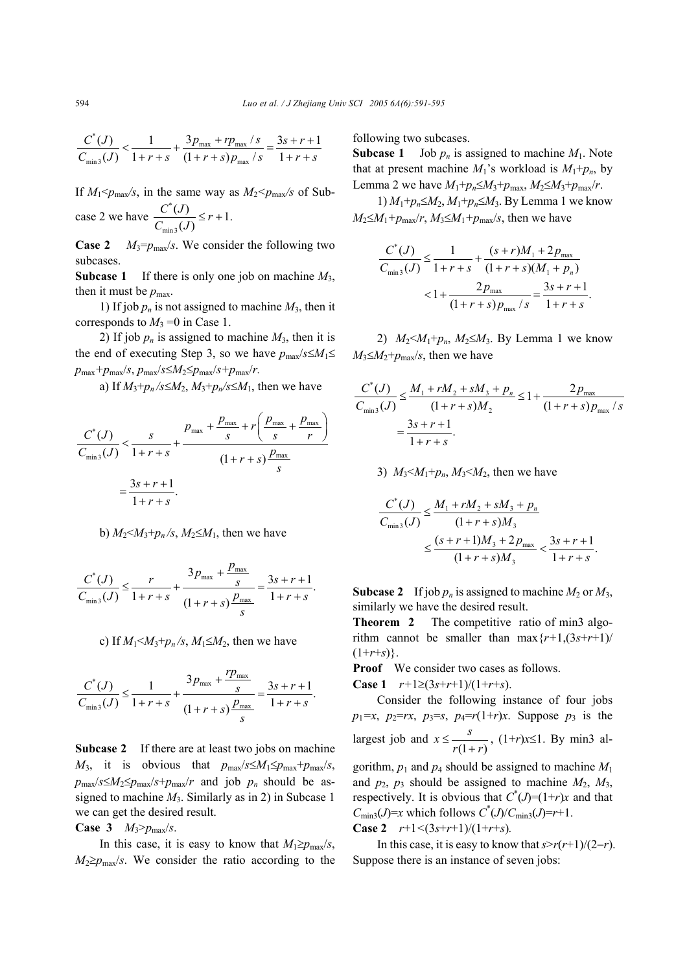$$
\frac{C^{*}(J)}{C_{\min 3}(J)} < \frac{1}{1+r+s} + \frac{3p_{\max} + rp_{\max} / s}{(1+r+s)p_{\max} / s} = \frac{3s+r+1}{1+r+s}
$$

If  $M_1$ < $p_{\text{max}}/s$ , in the same way as  $M_2$ < $p_{\text{max}}/s$  of Subcase 2 we have  $\frac{C^*}{C}$ min 3  $\frac{(J)}{(n)} \leq r+1$ .  $(J)$  $\frac{C^*(J)}{T^*} \leq r$  $C_{\min}$ <sub>3</sub> $(J$  $\leq r +$ 

**Case 2**  $M_3=p_{\text{max}}/s$ . We consider the following two subcases.

**Subcase 1** If there is only one job on machine *M*3, then it must be  $p_{\text{max}}$ .

1) If job  $p_n$  is not assigned to machine  $M_3$ , then it corresponds to  $M_3$  =0 in Case 1.

2) If job  $p_n$  is assigned to machine  $M_3$ , then it is the end of executing Step 3, so we have  $p_{\text{max}}/s \leq M_1 \leq$  $p_{\text{max}}+p_{\text{max}}/s$ ,  $p_{\text{max}}/s \leq M_2 \leq p_{\text{max}}/s+p_{\text{max}}/r$ .

a) If  $M_3+p_n/s\leq M_2$ ,  $M_3+p_n/s\leq M_1$ , then we have

$$
\frac{C^{*}(J)}{C_{\min 3}(J)} < \frac{s}{1+r+s} + \frac{p_{\max} + \frac{p_{\max}}{s} + r\left(\frac{p_{\max}}{s} + \frac{p_{\max}}{r}\right)}{(1+r+s)\frac{p_{\max}}{s}}
$$
\n
$$
= \frac{3s+r+1}{1+r+s}.
$$

b) 
$$
M_2
$$
 $\leq M_3 + p_n/s$ ,  $M_2 \leq M_1$ , then we have

$$
\frac{C^{*}(J)}{C_{\min 3}(J)} \le \frac{r}{1+r+s} + \frac{3p_{\max} + \frac{p_{\max}}{s}}{(1+r+s)\frac{p_{\max}}{s}} = \frac{3s+r+1}{1+r+s}.
$$

c) If  $M_1 \le M_3 + p_n / s$ ,  $M_1 \le M_2$ , then we have

$$
\frac{C^{*}(J)}{C_{\min 3}(J)} \le \frac{1}{1+r+s} + \frac{3p_{\max} + \frac{rp_{\max}}{s}}{(1+r+s)\frac{p_{\max}}{s}} = \frac{3s+r+1}{1+r+s}.
$$

**Subcase 2** If there are at least two jobs on machine *M*<sub>3</sub>, it is obvious that  $p_{\text{max}}/s \leq M_1 \leq p_{\text{max}} + p_{\text{max}}/s$ ,  $p_{\text{max}}/s \leq M_2 \leq p_{\text{max}}/s + p_{\text{max}}/r$  and job  $p_n$  should be assigned to machine  $M_3$ . Similarly as in 2) in Subcase 1 we can get the desired result.

**Case 3**  $M_3 > p_{\text{max}}/s$ .

In this case, it is easy to know that  $M_1 \geq p_{\text{max}}/s$ ,  $M_2 \geq p_{\text{max}}/s$ . We consider the ratio according to the following two subcases.

**Subcase 1** Job  $p_n$  is assigned to machine  $M_1$ . Note that at present machine  $M_1$ 's workload is  $M_1+p_n$ , by Lemma 2 we have  $M_1+p_n \leq M_3+p_{\text{max}}$ ,  $M_2 \leq M_3+p_{\text{max}}/r$ .

1)  $M_1$ + $p_n$ ≤ $M_2$ ,  $M_1$ + $p_n$ ≤ $M_3$ . By Lemma 1 we know  $M_2 \leq M_1 + p_{\text{max}}/r$ ,  $M_3 \leq M_1 + p_{\text{max}}/s$ , then we have

$$
\frac{C^*(J)}{C_{\min 3}(J)} \le \frac{1}{1+r+s} + \frac{(s+r)M_1 + 2p_{\max}}{(1+r+s)(M_1 + p_n)}
$$
  
< 
$$
< 1 + \frac{2p_{\max}}{(1+r+s)p_{\max}/s} = \frac{3s+r+1}{1+r+s}.
$$

2)  $M_2 < M_1 + p_n$ ,  $M_2 \le M_3$ . By Lemma 1 we know  $M_3 \leq M_2 + p_{\text{max}}/s$ , then we have

$$
\frac{C^*(J)}{C_{\min 3}(J)} \le \frac{M_1 + rM_2 + sM_3 + p_n}{(1 + r + s)M_2} \le 1 + \frac{2p_{\max}}{(1 + r + s)p_{\max}/s}
$$

$$
= \frac{3s + r + 1}{1 + r + s}.
$$

3)  $M_3 < M_1 + p_n$ ,  $M_3 < M_2$ , then we have

$$
\frac{C^*(J)}{C_{\min 3}(J)} \le \frac{M_1 + rM_2 + sM_3 + p_n}{(1 + r + s)M_3}
$$

$$
\le \frac{(s + r + 1)M_3 + 2p_{\max}}{(1 + r + s)M_3} < \frac{3s + r + 1}{1 + r + s}.
$$

**Subcase 2** If job  $p_n$  is assigned to machine  $M_2$  or  $M_3$ , similarly we have the desired result.

**Theorem 2** The competitive ratio of min3 algorithm cannot be smaller than  $\max\{r+1,(3s+r+1)/$  $(1+r+s)$ .

**Proof** We consider two cases as follows.

**Case 1**  $r+1\geq (3s+r+1)/(1+r+s)$ .

Consider the following instance of four jobs *p*<sub>1</sub>=*x*, *p*<sub>2</sub>=*rx*, *p*<sub>3</sub>=*s*, *p*<sub>4</sub>=*r*(1+*r*)*x*. Suppose *p*<sub>3</sub> is the largest job and  $x \leq \frac{s}{r(1+r)}$  $r(1+r)$ ≤ + , (1+*r*)*x*≤1. By min3 al-

gorithm,  $p_1$  and  $p_4$  should be assigned to machine  $M_1$ and  $p_2$ ,  $p_3$  should be assigned to machine  $M_2$ ,  $M_3$ , respectively. It is obvious that  $C^*(J)=(1+r)x$  and that *C*<sub>min3</sub>(*J*)=*x* which follows  $C^*(J)/C_{\text{min3}}(J)$ =*r*+1. **Case 2**  $r+1 \leq (3s+r+1)/(1+r+s)$ .

In this case, it is easy to know that  $s > r(r+1)/(2-r)$ . Suppose there is an instance of seven jobs: